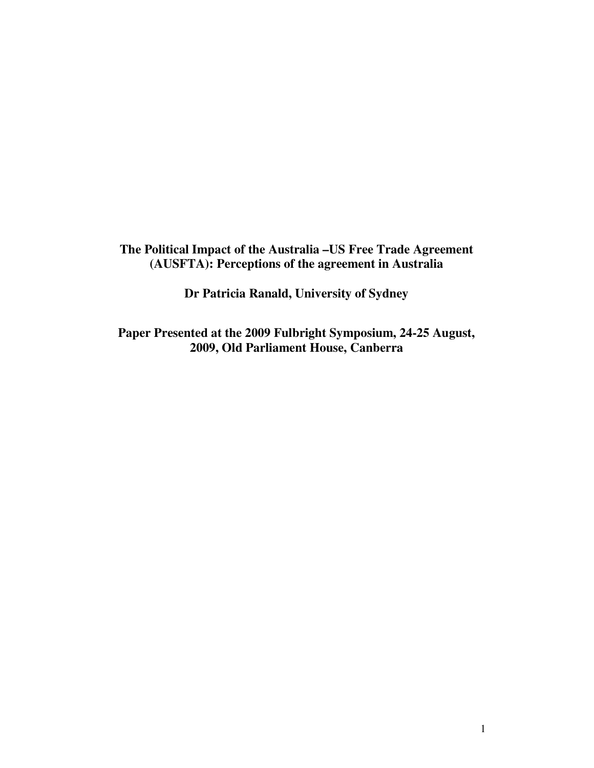**The Political Impact of the Australia –US Free Trade Agreement (AUSFTA): Perceptions of the agreement in Australia**

**Dr Patricia Ranald, University of Sydney** 

**Paper Presented at the 2009 Fulbright Symposium, 24-25 August, 2009, Old Parliament House, Canberra**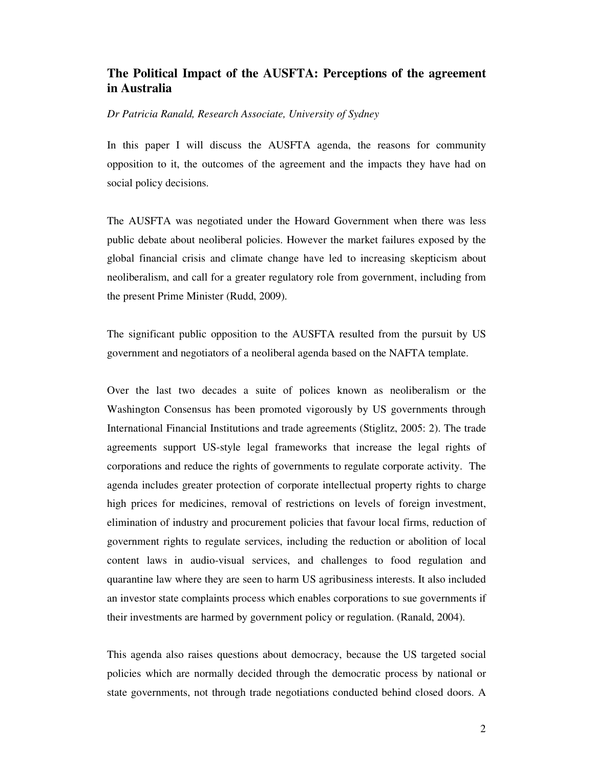## **The Political Impact of the AUSFTA: Perceptions of the agreement in Australia**

## *Dr Patricia Ranald, Research Associate, University of Sydney*

In this paper I will discuss the AUSFTA agenda, the reasons for community opposition to it, the outcomes of the agreement and the impacts they have had on social policy decisions.

The AUSFTA was negotiated under the Howard Government when there was less public debate about neoliberal policies. However the market failures exposed by the global financial crisis and climate change have led to increasing skepticism about neoliberalism, and call for a greater regulatory role from government, including from the present Prime Minister (Rudd, 2009).

The significant public opposition to the AUSFTA resulted from the pursuit by US government and negotiators of a neoliberal agenda based on the NAFTA template.

Over the last two decades a suite of polices known as neoliberalism or the Washington Consensus has been promoted vigorously by US governments through International Financial Institutions and trade agreements (Stiglitz, 2005: 2). The trade agreements support US-style legal frameworks that increase the legal rights of corporations and reduce the rights of governments to regulate corporate activity. The agenda includes greater protection of corporate intellectual property rights to charge high prices for medicines, removal of restrictions on levels of foreign investment, elimination of industry and procurement policies that favour local firms, reduction of government rights to regulate services, including the reduction or abolition of local content laws in audio-visual services, and challenges to food regulation and quarantine law where they are seen to harm US agribusiness interests. It also included an investor state complaints process which enables corporations to sue governments if their investments are harmed by government policy or regulation. (Ranald, 2004).

This agenda also raises questions about democracy, because the US targeted social policies which are normally decided through the democratic process by national or state governments, not through trade negotiations conducted behind closed doors. A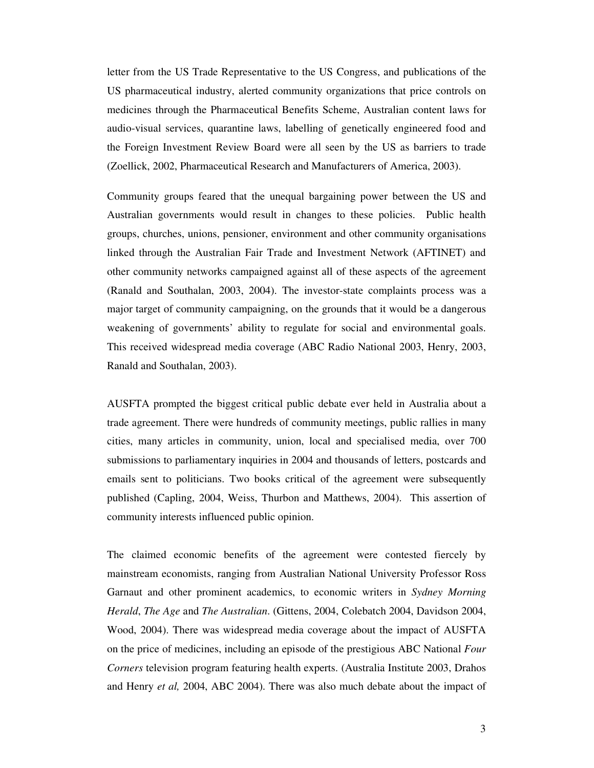letter from the US Trade Representative to the US Congress, and publications of the US pharmaceutical industry, alerted community organizations that price controls on medicines through the Pharmaceutical Benefits Scheme, Australian content laws for audio-visual services, quarantine laws, labelling of genetically engineered food and the Foreign Investment Review Board were all seen by the US as barriers to trade (Zoellick, 2002, Pharmaceutical Research and Manufacturers of America, 2003).

Community groups feared that the unequal bargaining power between the US and Australian governments would result in changes to these policies. Public health groups, churches, unions, pensioner, environment and other community organisations linked through the Australian Fair Trade and Investment Network (AFTINET) and other community networks campaigned against all of these aspects of the agreement (Ranald and Southalan, 2003, 2004). The investor-state complaints process was a major target of community campaigning, on the grounds that it would be a dangerous weakening of governments' ability to regulate for social and environmental goals. This received widespread media coverage (ABC Radio National 2003, Henry, 2003, Ranald and Southalan, 2003).

AUSFTA prompted the biggest critical public debate ever held in Australia about a trade agreement. There were hundreds of community meetings, public rallies in many cities, many articles in community, union, local and specialised media, over 700 submissions to parliamentary inquiries in 2004 and thousands of letters, postcards and emails sent to politicians. Two books critical of the agreement were subsequently published (Capling, 2004, Weiss, Thurbon and Matthews, 2004). This assertion of community interests influenced public opinion.

The claimed economic benefits of the agreement were contested fiercely by mainstream economists, ranging from Australian National University Professor Ross Garnaut and other prominent academics, to economic writers in *Sydney Morning Herald*, *The Age* and *The Australian*. (Gittens, 2004, Colebatch 2004, Davidson 2004, Wood, 2004). There was widespread media coverage about the impact of AUSFTA on the price of medicines, including an episode of the prestigious ABC National *Four Corners* television program featuring health experts. (Australia Institute 2003, Drahos and Henry *et al,* 2004, ABC 2004). There was also much debate about the impact of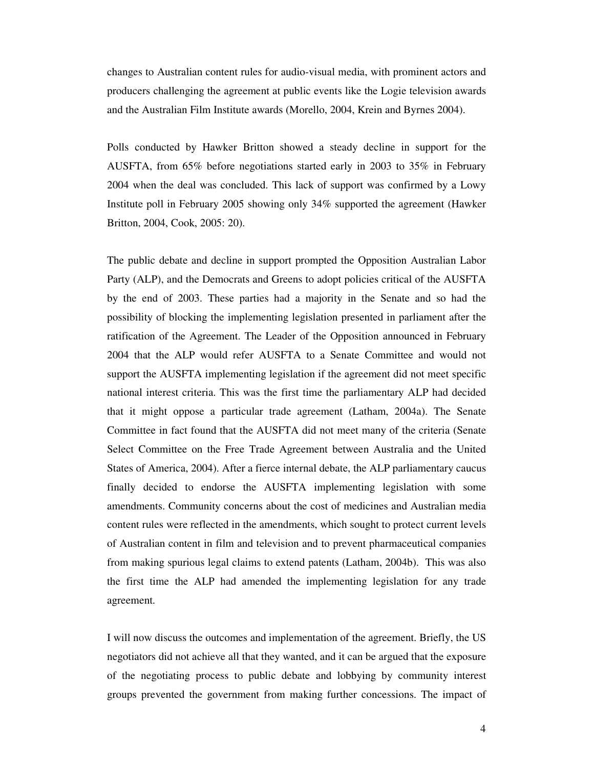changes to Australian content rules for audio-visual media, with prominent actors and producers challenging the agreement at public events like the Logie television awards and the Australian Film Institute awards (Morello, 2004, Krein and Byrnes 2004).

Polls conducted by Hawker Britton showed a steady decline in support for the AUSFTA, from 65% before negotiations started early in 2003 to 35% in February 2004 when the deal was concluded. This lack of support was confirmed by a Lowy Institute poll in February 2005 showing only 34% supported the agreement (Hawker Britton, 2004, Cook, 2005: 20).

The public debate and decline in support prompted the Opposition Australian Labor Party (ALP), and the Democrats and Greens to adopt policies critical of the AUSFTA by the end of 2003. These parties had a majority in the Senate and so had the possibility of blocking the implementing legislation presented in parliament after the ratification of the Agreement. The Leader of the Opposition announced in February 2004 that the ALP would refer AUSFTA to a Senate Committee and would not support the AUSFTA implementing legislation if the agreement did not meet specific national interest criteria. This was the first time the parliamentary ALP had decided that it might oppose a particular trade agreement (Latham, 2004a). The Senate Committee in fact found that the AUSFTA did not meet many of the criteria (Senate Select Committee on the Free Trade Agreement between Australia and the United States of America, 2004). After a fierce internal debate, the ALP parliamentary caucus finally decided to endorse the AUSFTA implementing legislation with some amendments. Community concerns about the cost of medicines and Australian media content rules were reflected in the amendments, which sought to protect current levels of Australian content in film and television and to prevent pharmaceutical companies from making spurious legal claims to extend patents (Latham, 2004b). This was also the first time the ALP had amended the implementing legislation for any trade agreement.

I will now discuss the outcomes and implementation of the agreement. Briefly, the US negotiators did not achieve all that they wanted, and it can be argued that the exposure of the negotiating process to public debate and lobbying by community interest groups prevented the government from making further concessions. The impact of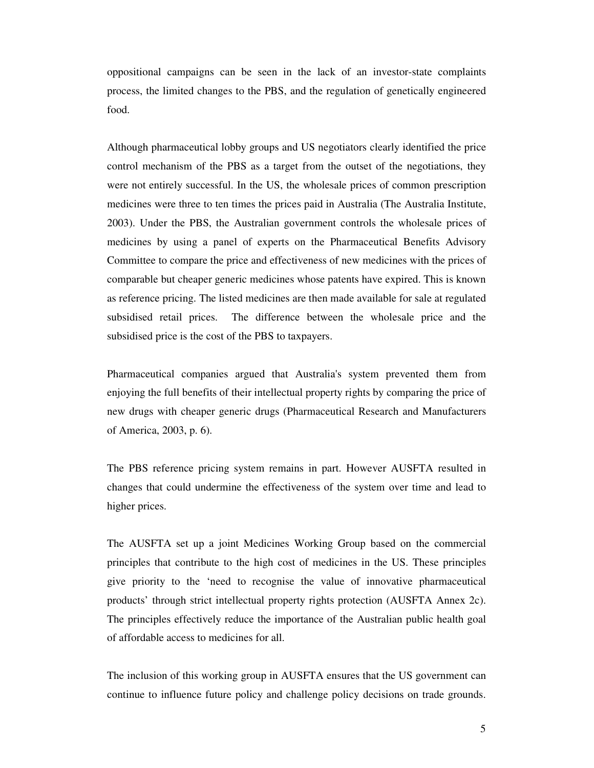oppositional campaigns can be seen in the lack of an investor-state complaints process, the limited changes to the PBS, and the regulation of genetically engineered food.

Although pharmaceutical lobby groups and US negotiators clearly identified the price control mechanism of the PBS as a target from the outset of the negotiations, they were not entirely successful. In the US, the wholesale prices of common prescription medicines were three to ten times the prices paid in Australia (The Australia Institute, 2003). Under the PBS, the Australian government controls the wholesale prices of medicines by using a panel of experts on the Pharmaceutical Benefits Advisory Committee to compare the price and effectiveness of new medicines with the prices of comparable but cheaper generic medicines whose patents have expired. This is known as reference pricing. The listed medicines are then made available for sale at regulated subsidised retail prices. The difference between the wholesale price and the subsidised price is the cost of the PBS to taxpayers.

Pharmaceutical companies argued that Australia's system prevented them from enjoying the full benefits of their intellectual property rights by comparing the price of new drugs with cheaper generic drugs (Pharmaceutical Research and Manufacturers of America, 2003, p. 6).

The PBS reference pricing system remains in part. However AUSFTA resulted in changes that could undermine the effectiveness of the system over time and lead to higher prices.

The AUSFTA set up a joint Medicines Working Group based on the commercial principles that contribute to the high cost of medicines in the US. These principles give priority to the 'need to recognise the value of innovative pharmaceutical products' through strict intellectual property rights protection (AUSFTA Annex 2c). The principles effectively reduce the importance of the Australian public health goal of affordable access to medicines for all.

The inclusion of this working group in AUSFTA ensures that the US government can continue to influence future policy and challenge policy decisions on trade grounds.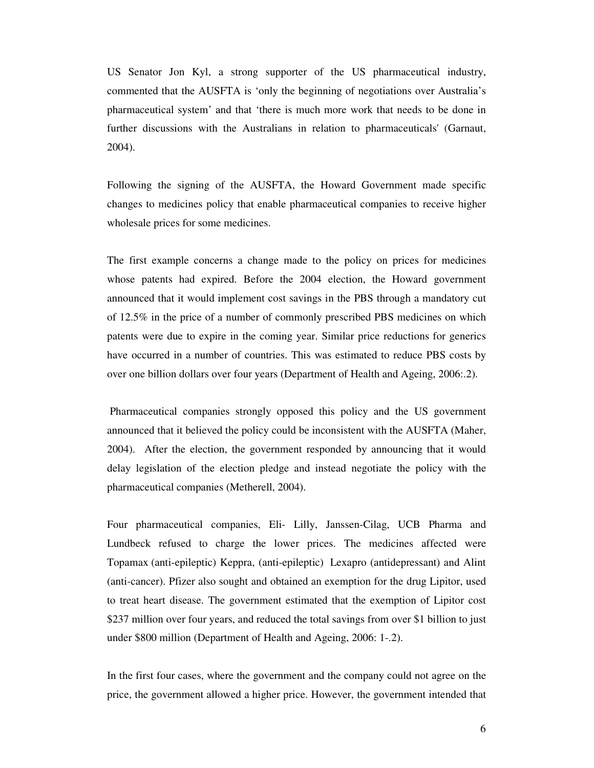US Senator Jon Kyl, a strong supporter of the US pharmaceutical industry, commented that the AUSFTA is 'only the beginning of negotiations over Australia's pharmaceutical system' and that 'there is much more work that needs to be done in further discussions with the Australians in relation to pharmaceuticals' (Garnaut, 2004).

Following the signing of the AUSFTA, the Howard Government made specific changes to medicines policy that enable pharmaceutical companies to receive higher wholesale prices for some medicines.

The first example concerns a change made to the policy on prices for medicines whose patents had expired. Before the 2004 election, the Howard government announced that it would implement cost savings in the PBS through a mandatory cut of 12.5% in the price of a number of commonly prescribed PBS medicines on which patents were due to expire in the coming year. Similar price reductions for generics have occurred in a number of countries. This was estimated to reduce PBS costs by over one billion dollars over four years (Department of Health and Ageing, 2006:.2).

 Pharmaceutical companies strongly opposed this policy and the US government announced that it believed the policy could be inconsistent with the AUSFTA (Maher, 2004). After the election, the government responded by announcing that it would delay legislation of the election pledge and instead negotiate the policy with the pharmaceutical companies (Metherell, 2004).

Four pharmaceutical companies, Eli- Lilly, Janssen-Cilag, UCB Pharma and Lundbeck refused to charge the lower prices. The medicines affected were Topamax (anti-epileptic) Keppra, (anti-epileptic) Lexapro (antidepressant) and Alint (anti-cancer). Pfizer also sought and obtained an exemption for the drug Lipitor, used to treat heart disease. The government estimated that the exemption of Lipitor cost \$237 million over four years, and reduced the total savings from over \$1 billion to just under \$800 million (Department of Health and Ageing, 2006: 1-.2).

In the first four cases, where the government and the company could not agree on the price, the government allowed a higher price. However, the government intended that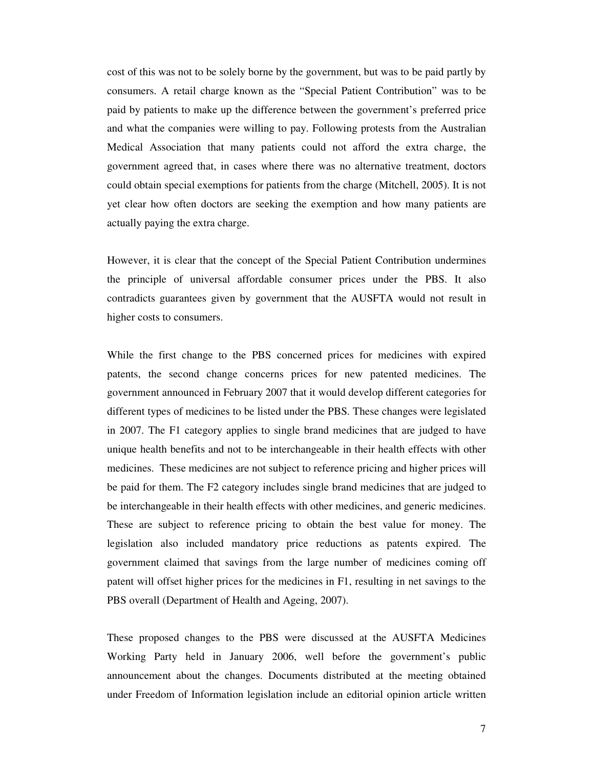cost of this was not to be solely borne by the government, but was to be paid partly by consumers. A retail charge known as the "Special Patient Contribution" was to be paid by patients to make up the difference between the government's preferred price and what the companies were willing to pay. Following protests from the Australian Medical Association that many patients could not afford the extra charge, the government agreed that, in cases where there was no alternative treatment, doctors could obtain special exemptions for patients from the charge (Mitchell, 2005). It is not yet clear how often doctors are seeking the exemption and how many patients are actually paying the extra charge.

However, it is clear that the concept of the Special Patient Contribution undermines the principle of universal affordable consumer prices under the PBS. It also contradicts guarantees given by government that the AUSFTA would not result in higher costs to consumers.

While the first change to the PBS concerned prices for medicines with expired patents, the second change concerns prices for new patented medicines. The government announced in February 2007 that it would develop different categories for different types of medicines to be listed under the PBS. These changes were legislated in 2007. The F1 category applies to single brand medicines that are judged to have unique health benefits and not to be interchangeable in their health effects with other medicines. These medicines are not subject to reference pricing and higher prices will be paid for them. The F2 category includes single brand medicines that are judged to be interchangeable in their health effects with other medicines, and generic medicines. These are subject to reference pricing to obtain the best value for money. The legislation also included mandatory price reductions as patents expired. The government claimed that savings from the large number of medicines coming off patent will offset higher prices for the medicines in F1, resulting in net savings to the PBS overall (Department of Health and Ageing, 2007).

These proposed changes to the PBS were discussed at the AUSFTA Medicines Working Party held in January 2006, well before the government's public announcement about the changes. Documents distributed at the meeting obtained under Freedom of Information legislation include an editorial opinion article written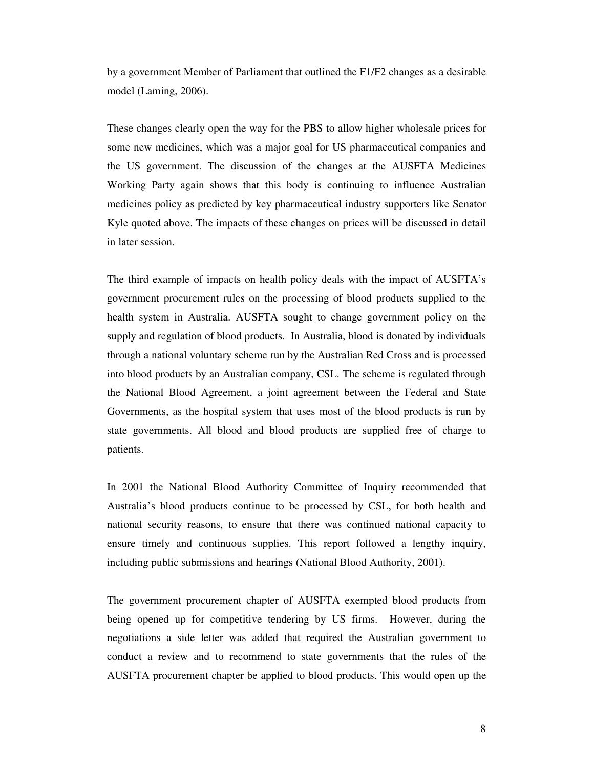by a government Member of Parliament that outlined the F1/F2 changes as a desirable model (Laming, 2006).

These changes clearly open the way for the PBS to allow higher wholesale prices for some new medicines, which was a major goal for US pharmaceutical companies and the US government. The discussion of the changes at the AUSFTA Medicines Working Party again shows that this body is continuing to influence Australian medicines policy as predicted by key pharmaceutical industry supporters like Senator Kyle quoted above. The impacts of these changes on prices will be discussed in detail in later session.

The third example of impacts on health policy deals with the impact of AUSFTA's government procurement rules on the processing of blood products supplied to the health system in Australia. AUSFTA sought to change government policy on the supply and regulation of blood products. In Australia, blood is donated by individuals through a national voluntary scheme run by the Australian Red Cross and is processed into blood products by an Australian company, CSL. The scheme is regulated through the National Blood Agreement, a joint agreement between the Federal and State Governments, as the hospital system that uses most of the blood products is run by state governments. All blood and blood products are supplied free of charge to patients.

In 2001 the National Blood Authority Committee of Inquiry recommended that Australia's blood products continue to be processed by CSL, for both health and national security reasons, to ensure that there was continued national capacity to ensure timely and continuous supplies. This report followed a lengthy inquiry, including public submissions and hearings (National Blood Authority, 2001).

The government procurement chapter of AUSFTA exempted blood products from being opened up for competitive tendering by US firms. However, during the negotiations a side letter was added that required the Australian government to conduct a review and to recommend to state governments that the rules of the AUSFTA procurement chapter be applied to blood products. This would open up the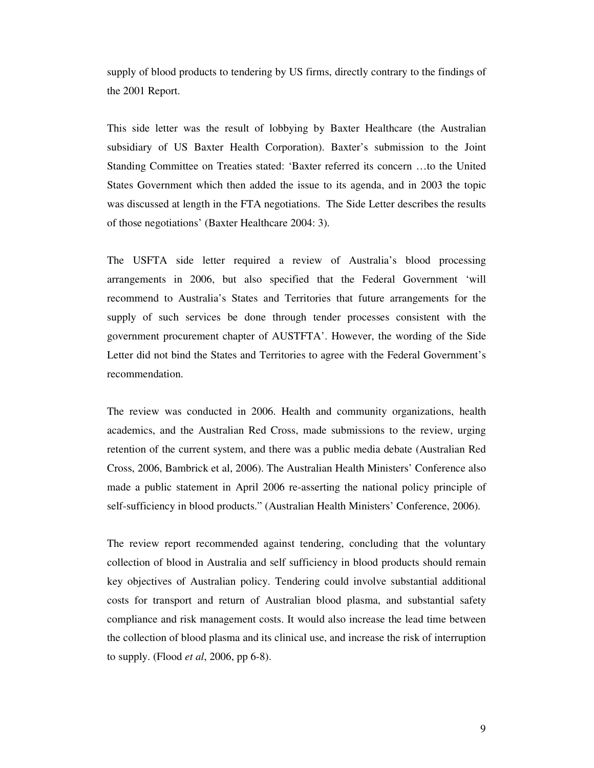supply of blood products to tendering by US firms, directly contrary to the findings of the 2001 Report.

This side letter was the result of lobbying by Baxter Healthcare (the Australian subsidiary of US Baxter Health Corporation). Baxter's submission to the Joint Standing Committee on Treaties stated: 'Baxter referred its concern …to the United States Government which then added the issue to its agenda, and in 2003 the topic was discussed at length in the FTA negotiations. The Side Letter describes the results of those negotiations' (Baxter Healthcare 2004: 3).

The USFTA side letter required a review of Australia's blood processing arrangements in 2006, but also specified that the Federal Government 'will recommend to Australia's States and Territories that future arrangements for the supply of such services be done through tender processes consistent with the government procurement chapter of AUSTFTA'. However, the wording of the Side Letter did not bind the States and Territories to agree with the Federal Government's recommendation.

The review was conducted in 2006. Health and community organizations, health academics, and the Australian Red Cross, made submissions to the review, urging retention of the current system, and there was a public media debate (Australian Red Cross, 2006, Bambrick et al, 2006). The Australian Health Ministers' Conference also made a public statement in April 2006 re-asserting the national policy principle of self-sufficiency in blood products." (Australian Health Ministers' Conference, 2006).

The review report recommended against tendering, concluding that the voluntary collection of blood in Australia and self sufficiency in blood products should remain key objectives of Australian policy. Tendering could involve substantial additional costs for transport and return of Australian blood plasma, and substantial safety compliance and risk management costs. It would also increase the lead time between the collection of blood plasma and its clinical use, and increase the risk of interruption to supply. (Flood *et al*, 2006, pp 6-8).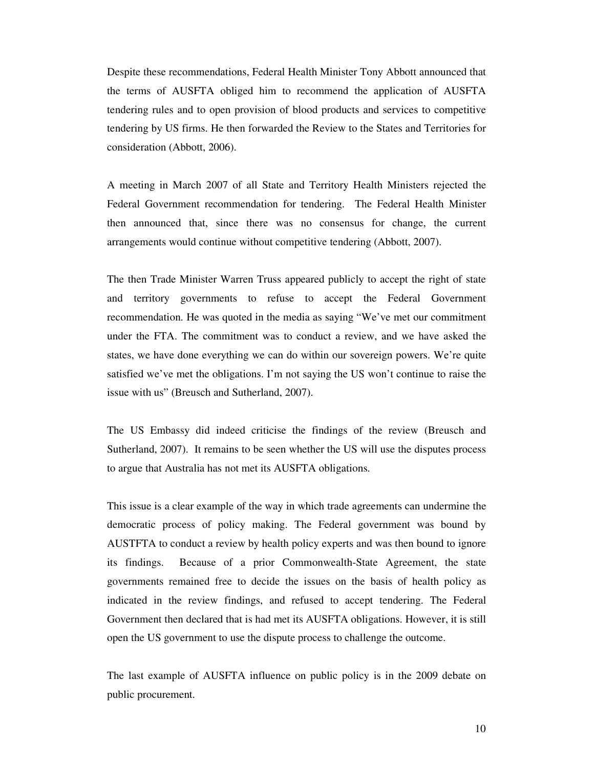Despite these recommendations, Federal Health Minister Tony Abbott announced that the terms of AUSFTA obliged him to recommend the application of AUSFTA tendering rules and to open provision of blood products and services to competitive tendering by US firms. He then forwarded the Review to the States and Territories for consideration (Abbott, 2006).

A meeting in March 2007 of all State and Territory Health Ministers rejected the Federal Government recommendation for tendering. The Federal Health Minister then announced that, since there was no consensus for change, the current arrangements would continue without competitive tendering (Abbott, 2007).

The then Trade Minister Warren Truss appeared publicly to accept the right of state and territory governments to refuse to accept the Federal Government recommendation. He was quoted in the media as saying "We've met our commitment under the FTA. The commitment was to conduct a review, and we have asked the states, we have done everything we can do within our sovereign powers. We're quite satisfied we've met the obligations. I'm not saying the US won't continue to raise the issue with us" (Breusch and Sutherland, 2007).

The US Embassy did indeed criticise the findings of the review (Breusch and Sutherland, 2007). It remains to be seen whether the US will use the disputes process to argue that Australia has not met its AUSFTA obligations.

This issue is a clear example of the way in which trade agreements can undermine the democratic process of policy making. The Federal government was bound by AUSTFTA to conduct a review by health policy experts and was then bound to ignore its findings. Because of a prior Commonwealth-State Agreement, the state governments remained free to decide the issues on the basis of health policy as indicated in the review findings, and refused to accept tendering. The Federal Government then declared that is had met its AUSFTA obligations. However, it is still open the US government to use the dispute process to challenge the outcome.

The last example of AUSFTA influence on public policy is in the 2009 debate on public procurement.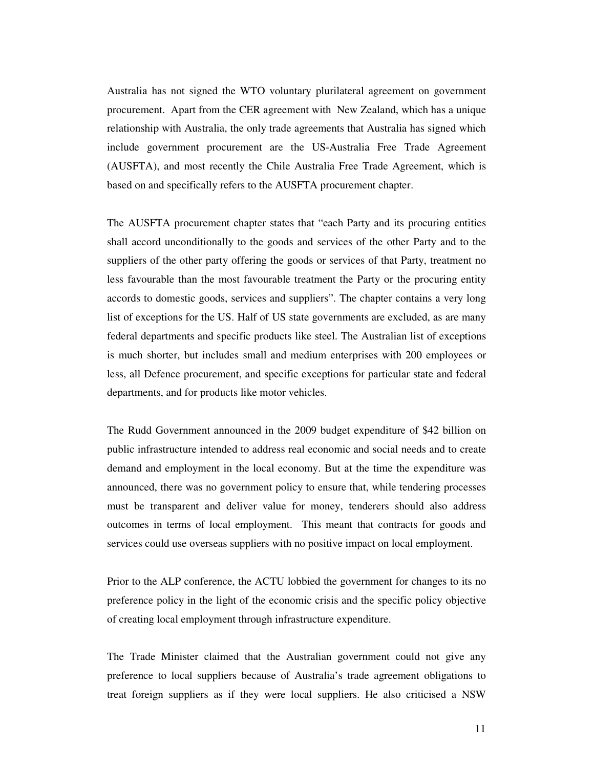Australia has not signed the WTO voluntary plurilateral agreement on government procurement. Apart from the CER agreement with New Zealand, which has a unique relationship with Australia, the only trade agreements that Australia has signed which include government procurement are the US-Australia Free Trade Agreement (AUSFTA), and most recently the Chile Australia Free Trade Agreement, which is based on and specifically refers to the AUSFTA procurement chapter.

The AUSFTA procurement chapter states that "each Party and its procuring entities shall accord unconditionally to the goods and services of the other Party and to the suppliers of the other party offering the goods or services of that Party, treatment no less favourable than the most favourable treatment the Party or the procuring entity accords to domestic goods, services and suppliers". The chapter contains a very long list of exceptions for the US. Half of US state governments are excluded, as are many federal departments and specific products like steel. The Australian list of exceptions is much shorter, but includes small and medium enterprises with 200 employees or less, all Defence procurement, and specific exceptions for particular state and federal departments, and for products like motor vehicles.

The Rudd Government announced in the 2009 budget expenditure of \$42 billion on public infrastructure intended to address real economic and social needs and to create demand and employment in the local economy. But at the time the expenditure was announced, there was no government policy to ensure that, while tendering processes must be transparent and deliver value for money, tenderers should also address outcomes in terms of local employment. This meant that contracts for goods and services could use overseas suppliers with no positive impact on local employment.

Prior to the ALP conference, the ACTU lobbied the government for changes to its no preference policy in the light of the economic crisis and the specific policy objective of creating local employment through infrastructure expenditure.

The Trade Minister claimed that the Australian government could not give any preference to local suppliers because of Australia's trade agreement obligations to treat foreign suppliers as if they were local suppliers. He also criticised a NSW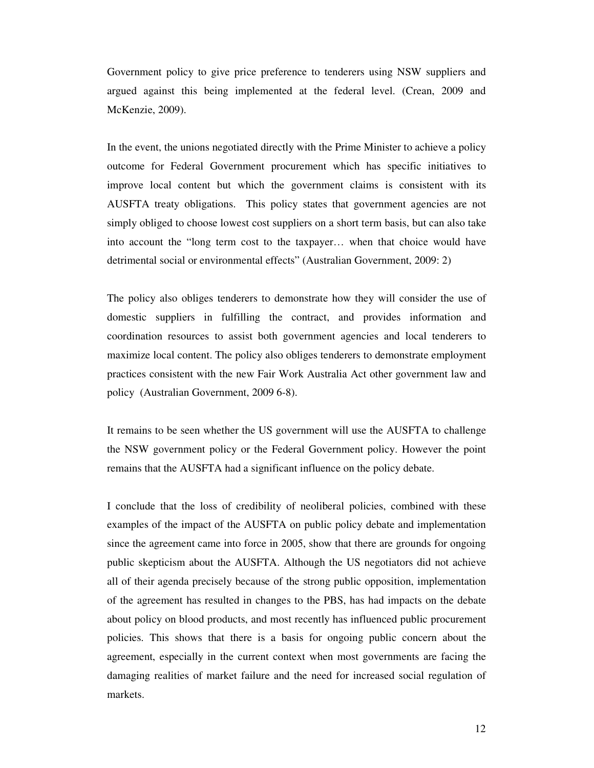Government policy to give price preference to tenderers using NSW suppliers and argued against this being implemented at the federal level. (Crean, 2009 and McKenzie, 2009).

In the event, the unions negotiated directly with the Prime Minister to achieve a policy outcome for Federal Government procurement which has specific initiatives to improve local content but which the government claims is consistent with its AUSFTA treaty obligations. This policy states that government agencies are not simply obliged to choose lowest cost suppliers on a short term basis, but can also take into account the "long term cost to the taxpayer… when that choice would have detrimental social or environmental effects" (Australian Government, 2009: 2)

The policy also obliges tenderers to demonstrate how they will consider the use of domestic suppliers in fulfilling the contract, and provides information and coordination resources to assist both government agencies and local tenderers to maximize local content. The policy also obliges tenderers to demonstrate employment practices consistent with the new Fair Work Australia Act other government law and policy (Australian Government, 2009 6-8).

It remains to be seen whether the US government will use the AUSFTA to challenge the NSW government policy or the Federal Government policy. However the point remains that the AUSFTA had a significant influence on the policy debate.

I conclude that the loss of credibility of neoliberal policies, combined with these examples of the impact of the AUSFTA on public policy debate and implementation since the agreement came into force in 2005, show that there are grounds for ongoing public skepticism about the AUSFTA. Although the US negotiators did not achieve all of their agenda precisely because of the strong public opposition, implementation of the agreement has resulted in changes to the PBS, has had impacts on the debate about policy on blood products, and most recently has influenced public procurement policies. This shows that there is a basis for ongoing public concern about the agreement, especially in the current context when most governments are facing the damaging realities of market failure and the need for increased social regulation of markets.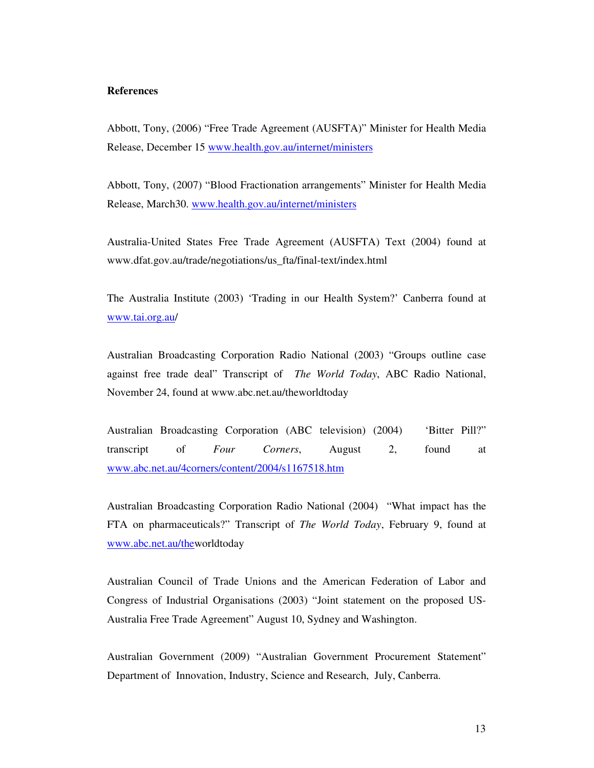## **References**

Abbott, Tony, (2006) "Free Trade Agreement (AUSFTA)" Minister for Health Media Release, December 15 www.health.gov.au/internet/ministers

Abbott, Tony, (2007) "Blood Fractionation arrangements" Minister for Health Media Release, March30. www.health.gov.au/internet/ministers

Australia-United States Free Trade Agreement (AUSFTA) Text (2004) found at www.dfat.gov.au/trade/negotiations/us\_fta/final-text/index.html

The Australia Institute (2003) 'Trading in our Health System?' Canberra found at www.tai.org.au/

Australian Broadcasting Corporation Radio National (2003) "Groups outline case against free trade deal" Transcript of *The World Today*, ABC Radio National, November 24, found at www.abc.net.au/theworldtoday

Australian Broadcasting Corporation (ABC television) (2004) 'Bitter Pill?" transcript of *Four Corners*, August 2, found at www.abc.net.au/4corners/content/2004/s1167518.htm

Australian Broadcasting Corporation Radio National (2004) "What impact has the FTA on pharmaceuticals?" Transcript of *The World Today*, February 9, found at www.abc.net.au/theworldtoday

Australian Council of Trade Unions and the American Federation of Labor and Congress of Industrial Organisations (2003) "Joint statement on the proposed US-Australia Free Trade Agreement" August 10, Sydney and Washington.

Australian Government (2009) "Australian Government Procurement Statement" Department of Innovation, Industry, Science and Research, July, Canberra.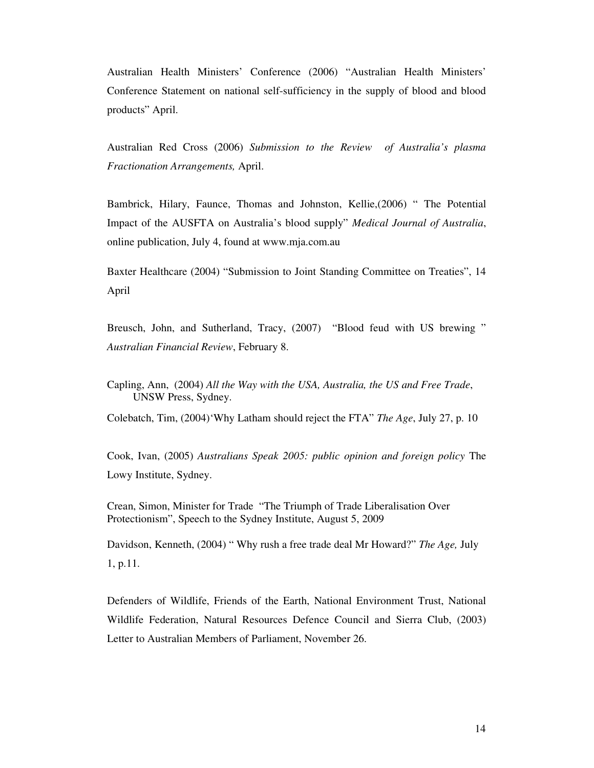Australian Health Ministers' Conference (2006) "Australian Health Ministers' Conference Statement on national self-sufficiency in the supply of blood and blood products" April.

Australian Red Cross (2006) *Submission to the Review of Australia's plasma Fractionation Arrangements,* April.

Bambrick, Hilary, Faunce, Thomas and Johnston, Kellie,(2006) " The Potential Impact of the AUSFTA on Australia's blood supply" *Medical Journal of Australia*, online publication, July 4, found at www.mja.com.au

Baxter Healthcare (2004) "Submission to Joint Standing Committee on Treaties", 14 April

Breusch, John, and Sutherland, Tracy, (2007) "Blood feud with US brewing " *Australian Financial Review*, February 8.

Capling, Ann, (2004) *All the Way with the USA, Australia, the US and Free Trade*, UNSW Press, Sydney.

Colebatch, Tim, (2004)'Why Latham should reject the FTA" *The Age*, July 27, p. 10

Cook, Ivan, (2005) *Australians Speak 2005: public opinion and foreign policy* The Lowy Institute, Sydney.

Crean, Simon, Minister for Trade "The Triumph of Trade Liberalisation Over Protectionism", Speech to the Sydney Institute, August 5, 2009

Davidson, Kenneth, (2004) " Why rush a free trade deal Mr Howard?" *The Age,* July 1, p.11.

Defenders of Wildlife, Friends of the Earth, National Environment Trust, National Wildlife Federation, Natural Resources Defence Council and Sierra Club, (2003) Letter to Australian Members of Parliament, November 26.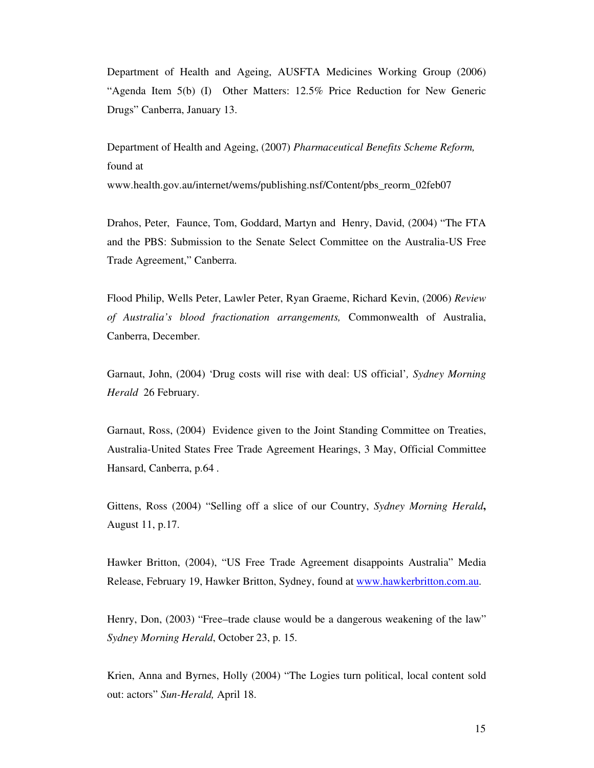Department of Health and Ageing, AUSFTA Medicines Working Group (2006) "Agenda Item 5(b) (I) Other Matters: 12.5% Price Reduction for New Generic Drugs" Canberra, January 13.

Department of Health and Ageing, (2007) *Pharmaceutical Benefits Scheme Reform,* found at

www.health.gov.au/internet/wems/publishing.nsf/Content/pbs\_reorm\_02feb07

Drahos, Peter, Faunce, Tom, Goddard, Martyn and Henry, David, (2004) "The FTA and the PBS: Submission to the Senate Select Committee on the Australia-US Free Trade Agreement," Canberra.

Flood Philip, Wells Peter, Lawler Peter, Ryan Graeme, Richard Kevin, (2006) *Review of Australia's blood fractionation arrangements,* Commonwealth of Australia, Canberra, December.

Garnaut, John, (2004) 'Drug costs will rise with deal: US official'*, Sydney Morning Herald* 26 February.

Garnaut, Ross, (2004) Evidence given to the Joint Standing Committee on Treaties, Australia-United States Free Trade Agreement Hearings, 3 May, Official Committee Hansard, Canberra, p.64 .

Gittens, Ross (2004) "Selling off a slice of our Country, *Sydney Morning Herald***,**  August 11, p.17.

Hawker Britton, (2004), "US Free Trade Agreement disappoints Australia" Media Release, February 19, Hawker Britton, Sydney, found at www.hawkerbritton.com.au.

Henry, Don, (2003) "Free–trade clause would be a dangerous weakening of the law" *Sydney Morning Herald*, October 23, p. 15.

Krien, Anna and Byrnes, Holly (2004) "The Logies turn political, local content sold out: actors" *Sun-Herald,* April 18.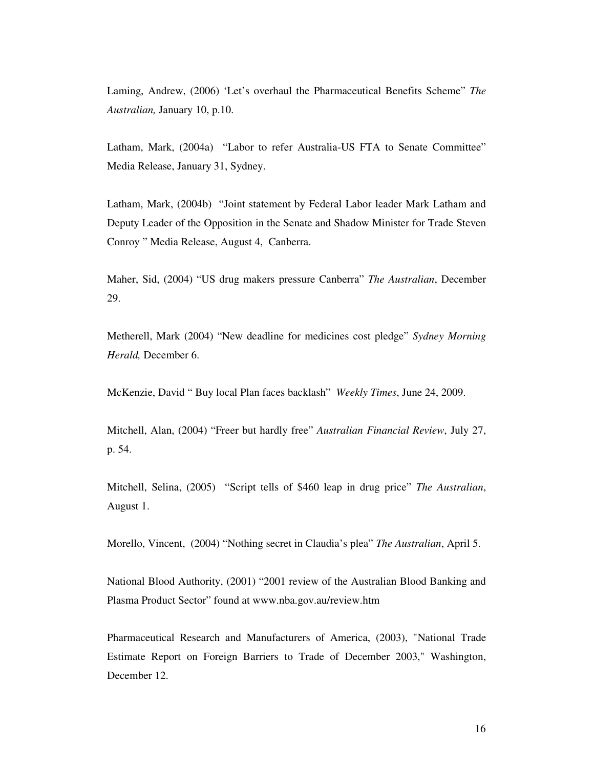Laming, Andrew, (2006) 'Let's overhaul the Pharmaceutical Benefits Scheme" *The Australian,* January 10, p.10.

Latham, Mark, (2004a) "Labor to refer Australia-US FTA to Senate Committee" Media Release, January 31, Sydney.

Latham, Mark, (2004b) "Joint statement by Federal Labor leader Mark Latham and Deputy Leader of the Opposition in the Senate and Shadow Minister for Trade Steven Conroy " Media Release, August 4, Canberra.

Maher, Sid, (2004) "US drug makers pressure Canberra" *The Australian*, December 29.

Metherell, Mark (2004) "New deadline for medicines cost pledge" *Sydney Morning Herald,* December 6.

McKenzie, David " Buy local Plan faces backlash" *Weekly Times*, June 24, 2009.

Mitchell, Alan, (2004) "Freer but hardly free" *Australian Financial Review*, July 27, p. 54.

Mitchell, Selina, (2005) "Script tells of \$460 leap in drug price" *The Australian*, August 1.

Morello, Vincent, (2004) "Nothing secret in Claudia's plea" *The Australian*, April 5.

National Blood Authority, (2001) "2001 review of the Australian Blood Banking and Plasma Product Sector" found at www.nba.gov.au/review.htm

Pharmaceutical Research and Manufacturers of America, (2003), "National Trade Estimate Report on Foreign Barriers to Trade of December 2003," Washington, December 12.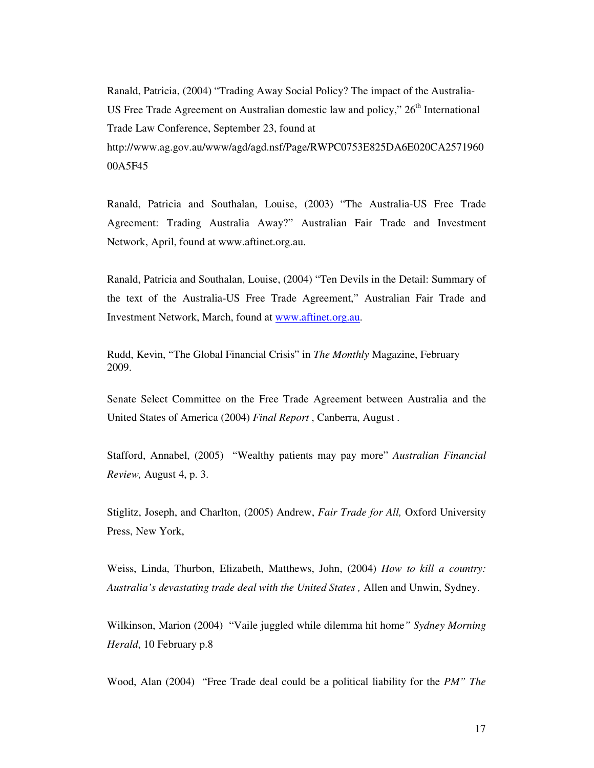Ranald, Patricia, (2004) "Trading Away Social Policy? The impact of the Australia-US Free Trade Agreement on Australian domestic law and policy,"  $26<sup>th</sup>$  International Trade Law Conference, September 23, found at http://www.ag.gov.au/www/agd/agd.nsf/Page/RWPC0753E825DA6E020CA2571960 00A5F45

Ranald, Patricia and Southalan, Louise, (2003) "The Australia-US Free Trade Agreement: Trading Australia Away?" Australian Fair Trade and Investment Network, April, found at www.aftinet.org.au.

Ranald, Patricia and Southalan, Louise, (2004) "Ten Devils in the Detail: Summary of the text of the Australia-US Free Trade Agreement," Australian Fair Trade and Investment Network, March, found at www.aftinet.org.au.

Rudd, Kevin, "The Global Financial Crisis" in *The Monthly* Magazine, February 2009.

Senate Select Committee on the Free Trade Agreement between Australia and the United States of America (2004) *Final Report* , Canberra, August .

Stafford, Annabel, (2005) "Wealthy patients may pay more" *Australian Financial Review,* August 4, p. 3.

Stiglitz, Joseph, and Charlton, (2005) Andrew, *Fair Trade for All,* Oxford University Press, New York,

Weiss, Linda, Thurbon, Elizabeth, Matthews, John, (2004) *How to kill a country: Australia's devastating trade deal with the United States ,* Allen and Unwin, Sydney.

Wilkinson, Marion (2004) "Vaile juggled while dilemma hit home*" Sydney Morning Herald*, 10 February p.8

Wood, Alan (2004) "Free Trade deal could be a political liability for the *PM" The*